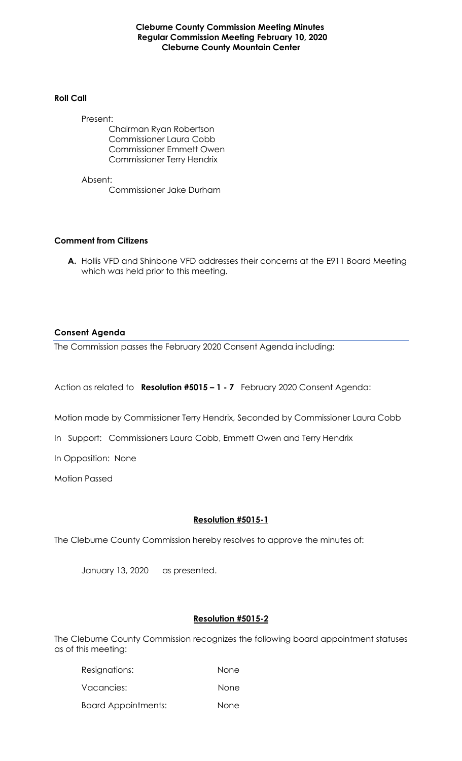**Cleburne County Commission Meeting Minutes Regular Commission Meeting February 10, 2020 Cleburne County Mountain Center**

#### **Roll Call**

Present: Chairman Ryan Robertson Commissioner Laura Cobb Commissioner Emmett Owen Commissioner Terry Hendrix

Absent: Commissioner Jake Durham

### **Comment from Citizens**

**A.** Hollis VFD and Shinbone VFD addresses their concerns at the E911 Board Meeting which was held prior to this meeting.

# **Consent Agenda**

The Commission passes the February 2020 Consent Agenda including:

Action as related to **Resolution #5015 – 1 - 7** February 2020 Consent Agenda:

Motion made by Commissioner Terry Hendrix, Seconded by Commissioner Laura Cobb

In Support: Commissioners Laura Cobb, Emmett Owen and Terry Hendrix

In Opposition: None

Motion Passed

### **Resolution #5015-1**

The Cleburne County Commission hereby resolves to approve the minutes of:

January 13, 2020 as presented.

### **Resolution #5015-2**

The Cleburne County Commission recognizes the following board appointment statuses as of this meeting:

| Resignations:              | None        |
|----------------------------|-------------|
| Vacancies:                 | None        |
| <b>Board Appointments:</b> | <b>None</b> |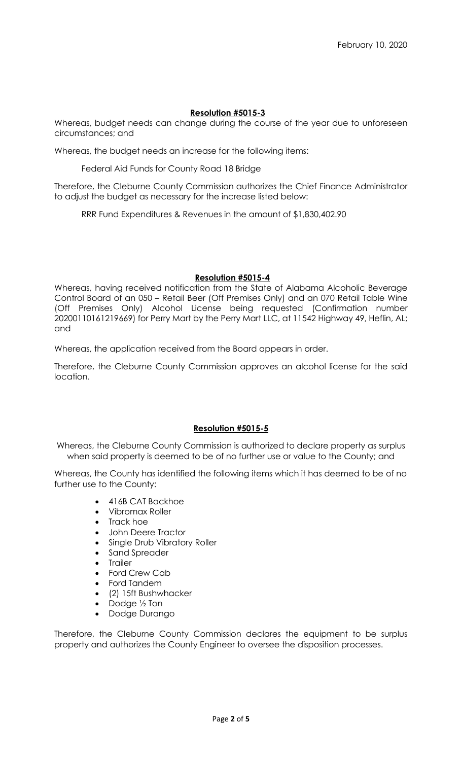# **Resolution #5015-3**

Whereas, budget needs can change during the course of the year due to unforeseen circumstances; and

Whereas, the budget needs an increase for the following items:

Federal Aid Funds for County Road 18 Bridge

Therefore, the Cleburne County Commission authorizes the Chief Finance Administrator to adjust the budget as necessary for the increase listed below:

RRR Fund Expenditures & Revenues in the amount of \$1,830,402.90

### **Resolution #5015-4**

Whereas, having received notification from the State of Alabama Alcoholic Beverage Control Board of an 050 – Retail Beer (Off Premises Only) and an 070 Retail Table Wine (Off Premises Only) Alcohol License being requested (Confirmation number 20200110161219669) for Perry Mart by the Perry Mart LLC, at 11542 Highway 49, Heflin, AL; and

Whereas, the application received from the Board appears in order.

Therefore, the Cleburne County Commission approves an alcohol license for the said location.

### **Resolution #5015-5**

Whereas, the Cleburne County Commission is authorized to declare property as surplus when said property is deemed to be of no further use or value to the County; and

Whereas, the County has identified the following items which it has deemed to be of no further use to the County:

- 416B CAT Backhoe
- Vibromax Roller
- Track hoe
- John Deere Tractor
- Single Drub Vibratory Roller
- Sand Spreader
- Trailer
- Ford Crew Cab
- Ford Tandem
- (2) 15ft Bushwhacker
- Dodge ½ Ton
- Dodge Durango

Therefore, the Cleburne County Commission declares the equipment to be surplus property and authorizes the County Engineer to oversee the disposition processes.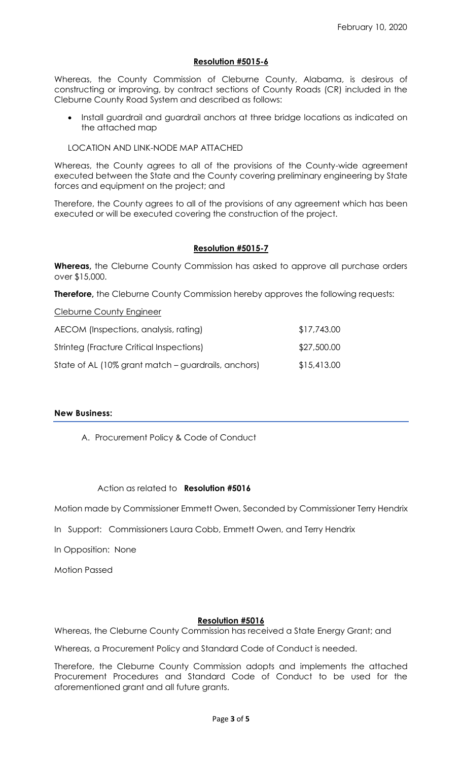# **Resolution #5015-6**

Whereas, the County Commission of Cleburne County, Alabama, is desirous of constructing or improving, by contract sections of County Roads (CR) included in the Cleburne County Road System and described as follows:

• Install guardrail and guardrail anchors at three bridge locations as indicated on the attached map

### LOCATION AND LINK-NODE MAP ATTACHED

Whereas, the County agrees to all of the provisions of the County-wide agreement executed between the State and the County covering preliminary engineering by State forces and equipment on the project; and

Therefore, the County agrees to all of the provisions of any agreement which has been executed or will be executed covering the construction of the project.

# **Resolution #5015-7**

**Whereas,** the Cleburne County Commission has asked to approve all purchase orders over \$15,000.

**Therefore,** the Cleburne County Commission hereby approves the following requests:

Cleburne County Engineer

| AECOM (Inspections, analysis, rating)               | \$17,743.00 |
|-----------------------------------------------------|-------------|
| Strinteg (Fracture Critical Inspections)            | \$27,500.00 |
| State of AL (10% grant match – guardrails, anchors) | \$15,413.00 |

### **New Business:**

A. Procurement Policy & Code of Conduct

### Action as related to **Resolution #5016**

Motion made by Commissioner Emmett Owen, Seconded by Commissioner Terry Hendrix

In Support: Commissioners Laura Cobb, Emmett Owen, and Terry Hendrix

In Opposition: None

Motion Passed

#### **Resolution #5016**

Whereas, the Cleburne County Commission has received a State Energy Grant; and

Whereas, a Procurement Policy and Standard Code of Conduct is needed.

Therefore, the Cleburne County Commission adopts and implements the attached Procurement Procedures and Standard Code of Conduct to be used for the aforementioned grant and all future grants.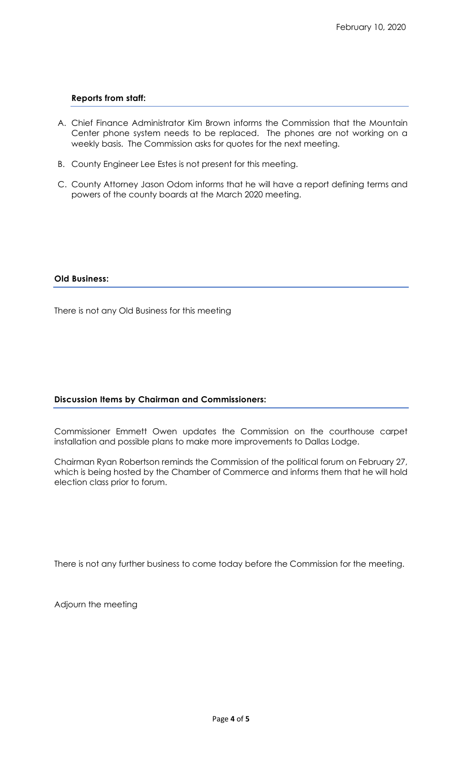#### **Reports from staff:**

- A. Chief Finance Administrator Kim Brown informs the Commission that the Mountain Center phone system needs to be replaced. The phones are not working on a weekly basis. The Commission asks for quotes for the next meeting.
- B. County Engineer Lee Estes is not present for this meeting.
- C. County Attorney Jason Odom informs that he will have a report defining terms and powers of the county boards at the March 2020 meeting.

#### **Old Business:**

There is not any Old Business for this meeting

# **Discussion Items by Chairman and Commissioners:**

Commissioner Emmett Owen updates the Commission on the courthouse carpet installation and possible plans to make more improvements to Dallas Lodge.

Chairman Ryan Robertson reminds the Commission of the political forum on February 27, which is being hosted by the Chamber of Commerce and informs them that he will hold election class prior to forum.

There is not any further business to come today before the Commission for the meeting.

Adjourn the meeting